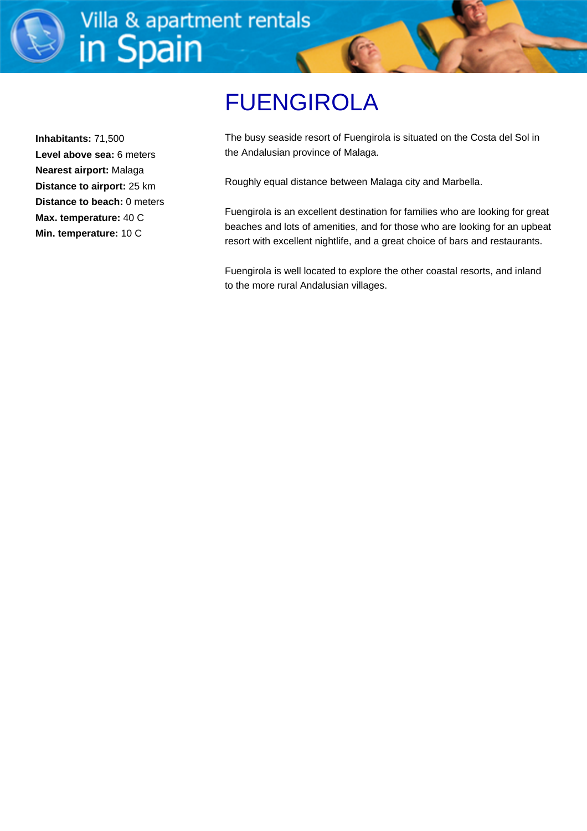

**Inhabitants:** 71,500 **Level above sea:** 6 meters **Nearest airport:** Malaga **Distance to airport:** 25 km **Distance to beach:** 0 meters **Max. temperature:** 40 C **Min. temperature:** 10 C

# FUENGIROLA

The busy seaside resort of Fuengirola is situated on the Costa del Sol in the Andalusian province of Malaga.

Roughly equal distance between Malaga city and Marbella.

Fuengirola is an excellent destination for families who are looking for great beaches and lots of amenities, and for those who are looking for an upbeat resort with excellent nightlife, and a great choice of bars and restaurants.

Fuengirola is well located to explore the other coastal resorts, and inland to the more rural Andalusian villages.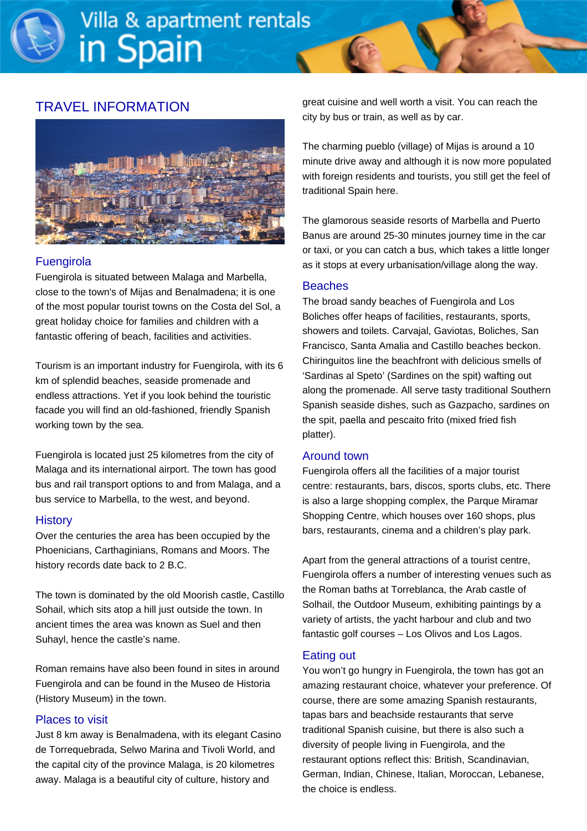# TRAVEL INFORMATION



#### **Fuengirola**

Fuengirola is situated between Malaga and Marbella, close to the town's of Mijas and Benalmadena; it is one of the most popular tourist towns on the Costa del Sol, a great holiday choice for families and children with a fantastic offering of beach, facilities and activities.

Tourism is an important industry for Fuengirola, with its 6 km of splendid beaches, seaside promenade and endless attractions. Yet if you look behind the touristic facade you will find an old-fashioned, friendly Spanish working town by the sea.

Fuengirola is located just 25 kilometres from the city of Malaga and its international airport. The town has good bus and rail transport options to and from Malaga, and a bus service to Marbella, to the west, and beyond.

#### **History**

Over the centuries the area has been occupied by the Phoenicians, Carthaginians, Romans and Moors. The history records date back to 2 B.C.

The town is dominated by the old Moorish castle, Castillo Sohail, which sits atop a hill just outside the town. In ancient times the area was known as Suel and then Suhayl, hence the castle's name.

Roman remains have also been found in sites in around Fuengirola and can be found in the Museo de Historia (History Museum) in the town.

#### Places to visit

Just 8 km away is Benalmadena, with its elegant Casino de Torrequebrada, Selwo Marina and Tivoli World, and the capital city of the province Malaga, is 20 kilometres away. Malaga is a beautiful city of culture, history and

great cuisine and well worth a visit. You can reach the city by bus or train, as well as by car.

The charming pueblo (village) of Mijas is around a 10 minute drive away and although it is now more populated with foreign residents and tourists, you still get the feel of traditional Spain here.

The glamorous seaside resorts of Marbella and Puerto Banus are around 25-30 minutes journey time in the car or taxi, or you can catch a bus, which takes a little longer as it stops at every urbanisation/village along the way.

#### **Beaches**

The broad sandy beaches of Fuengirola and Los Boliches offer heaps of facilities, restaurants, sports, showers and toilets. Carvajal, Gaviotas, Boliches, San Francisco, Santa Amalia and Castillo beaches beckon. Chiringuitos line the beachfront with delicious smells of 'Sardinas al Speto' (Sardines on the spit) wafting out along the promenade. All serve tasty traditional Southern Spanish seaside dishes, such as Gazpacho, sardines on the spit, paella and pescaito frito (mixed fried fish platter).

#### Around town

Fuengirola offers all the facilities of a major tourist centre: restaurants, bars, discos, sports clubs, etc. There is also a large shopping complex, the Parque Miramar Shopping Centre, which houses over 160 shops, plus bars, restaurants, cinema and a children's play park.

Apart from the general attractions of a tourist centre, Fuengirola offers a number of interesting venues such as the Roman baths at Torreblanca, the Arab castle of Solhail, the Outdoor Museum, exhibiting paintings by a variety of artists, the yacht harbour and club and two fantastic golf courses – Los Olivos and Los Lagos.

#### Eating out

You won't go hungry in Fuengirola, the town has got an amazing restaurant choice, whatever your preference. Of course, there are some amazing Spanish restaurants, tapas bars and beachside restaurants that serve traditional Spanish cuisine, but there is also such a diversity of people living in Fuengirola, and the restaurant options reflect this: British, Scandinavian, German, Indian, Chinese, Italian, Moroccan, Lebanese, the choice is endless.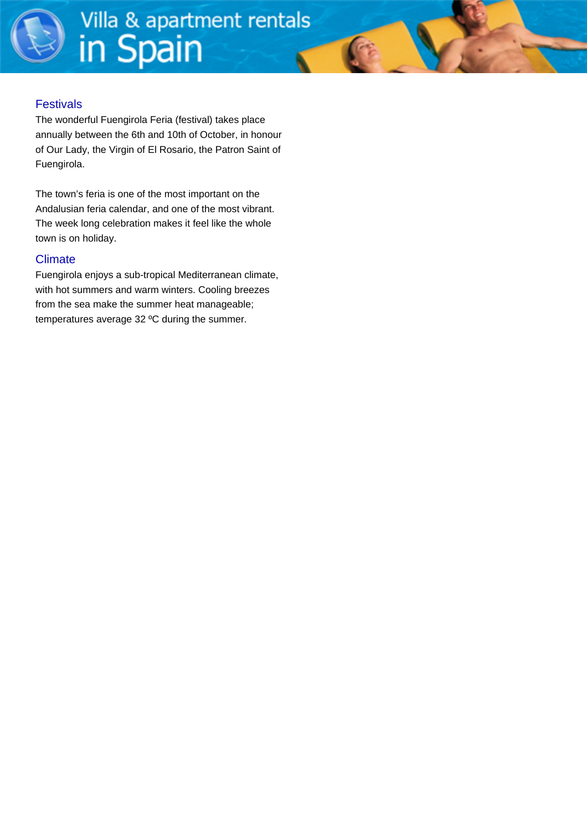#### **Festivals**

The wonderful Fuengirola Feria (festival) takes place annually between the 6th and 10th of October, in honour of Our Lady, the Virgin of El Rosario, the Patron Saint of Fuengirola.

The town's feria is one of the most important on the Andalusian feria calendar, and one of the most vibrant. The week long celebration makes it feel like the whole town is on holiday.

#### **Climate**

Fuengirola enjoys a sub-tropical Mediterranean climate, with hot summers and warm winters. Cooling breezes from the sea make the summer heat manageable; temperatures average 32 ºC during the summer.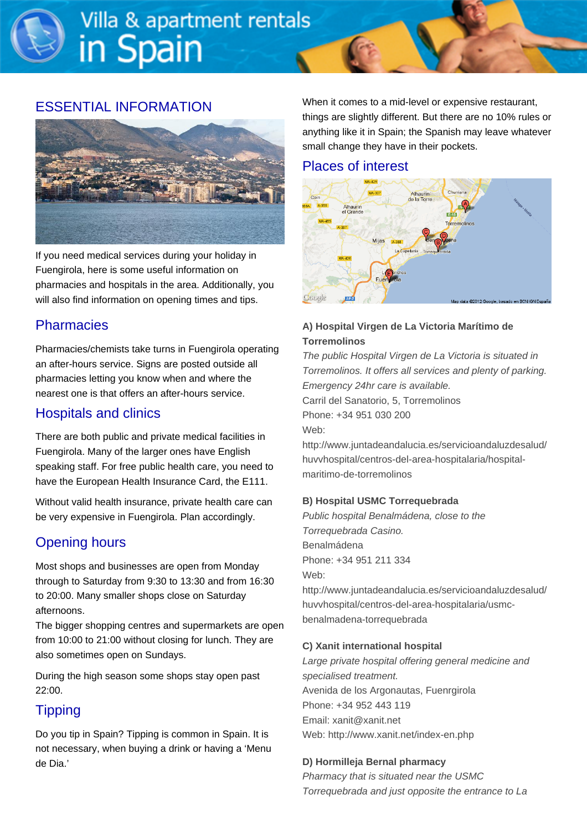# ESSENTIAL INFORMATION



If you need medical services during your holiday in Fuengirola, here is some useful information on pharmacies and hospitals in the area. Additionally, you will also find information on opening times and tips.

# **Pharmacies**

Pharmacies/chemists take turns in Fuengirola operating an after-hours service. Signs are posted outside all pharmacies letting you know when and where the nearest one is that offers an after-hours service.

# Hospitals and clinics

There are both public and private medical facilities in Fuengirola. Many of the larger ones have English speaking staff. For free public health care, you need to have the European Health Insurance Card, the E111.

Without valid health insurance, private health care can be very expensive in Fuengirola. Plan accordingly.

# Opening hours

Most shops and businesses are open from Monday through to Saturday from 9:30 to 13:30 and from 16:30 to 20:00. Many smaller shops close on Saturday afternoons.

The bigger shopping centres and supermarkets are open from 10:00 to 21:00 without closing for lunch. They are also sometimes open on Sundays.

During the high season some shops stay open past 22:00.

# **Tipping**

Do you tip in Spain? Tipping is common in Spain. It is not necessary, when buying a drink or having a 'Menu de Dia.'

When it comes to a mid-level or expensive restaurant, things are slightly different. But there are no 10% rules or anything like it in Spain; the Spanish may leave whatever small change they have in their pockets.

## Places of interest



#### **A) Hospital Virgen de La Victoria Marítimo de Torremolinos**

The public Hospital Virgen de La Victoria is situated in Torremolinos. It offers all services and plenty of parking. Emergency 24hr care is available. Carril del Sanatorio, 5, Torremolinos Phone: +34 951 030 200 Web: http://www.juntadeandalucia.es/servicioandaluzdesalud/ huvvhospital/centros-del-area-hospitalaria/hospital-

maritimo-de-torremolinos

#### **B) Hospital USMC Torrequebrada**

Public hospital Benalmádena, close to the Torrequebrada Casino. Benalmádena Phone: +34 951 211 334 Web:

http://www.juntadeandalucia.es/servicioandaluzdesalud/ huvvhospital/centros-del-area-hospitalaria/usmcbenalmadena-torrequebrada

#### **C) Xanit international hospital**

Large private hospital offering general medicine and specialised treatment. Avenida de los Argonautas, Fuenrgirola Phone: +34 952 443 119 Email: xanit@xanit.net Web: http://www.xanit.net/index-en.php

#### **D) Hormilleja Bernal pharmacy**

Pharmacy that is situated near the USMC Torrequebrada and just opposite the entrance to La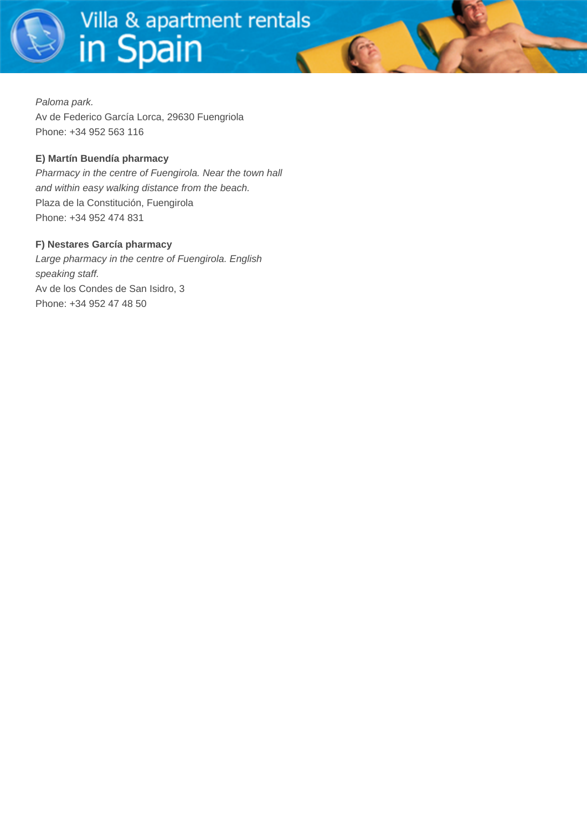Paloma park. Av de Federico García Lorca, 29630 Fuengriola Phone: +34 952 563 116

#### **E) Martín Buendía pharmacy**

Pharmacy in the centre of Fuengirola. Near the town hall and within easy walking distance from the beach. Plaza de la Constitución, Fuengirola Phone: +34 952 474 831

#### **F) Nestares García pharmacy**

Large pharmacy in the centre of Fuengirola. English speaking staff. Av de los Condes de San Isidro, 3 Phone: +34 952 47 48 50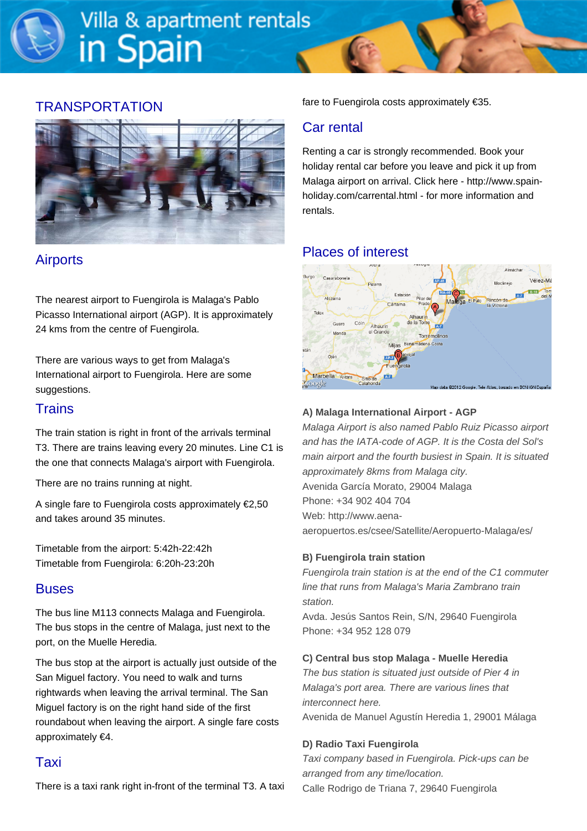# **TRANSPORTATION**



# **Airports**

The nearest airport to Fuengirola is Malaga's Pablo Picasso International airport (AGP). It is approximately 24 kms from the centre of Fuengirola.

There are various ways to get from Malaga's International airport to Fuengirola. Here are some suggestions.

# **Trains**

The train station is right in front of the arrivals terminal T3. There are trains leaving every 20 minutes. Line C1 is the one that connects Malaga's airport with Fuengirola.

There are no trains running at night.

A single fare to Fuengirola costs approximately €2,50 and takes around 35 minutes.

Timetable from the airport: 5:42h-22:42h Timetable from Fuengirola: 6:20h-23:20h

# **Buses**

The bus line M113 connects Malaga and Fuengirola. The bus stops in the centre of Malaga, just next to the port, on the Muelle Heredia.

The bus stop at the airport is actually just outside of the San Miguel factory. You need to walk and turns rightwards when leaving the arrival terminal. The San Miguel factory is on the right hand side of the first roundabout when leaving the airport. A single fare costs approximately €4.

# Taxi

There is a taxi rank right in-front of the terminal T3. A taxi

fare to Fuengirola costs approximately €35.

# Car rental

Renting a car is strongly recommended. Book your holiday rental car before you leave and pick it up from Malaga airport on arrival. Click here - [http://www.spain](http://www.spain-holiday.com/carrental.html)[holiday.com/carrental.html](http://www.spain-holiday.com/carrental.html) - for more information and rentals.

# Places of interest



#### **A) Malaga International Airport - AGP**

Malaga Airport is also named Pablo Ruiz Picasso airport and has the IATA-code of AGP. It is the Costa del Sol's main airport and the fourth busiest in Spain. It is situated approximately 8kms from Malaga city. Avenida García Morato, 29004 Malaga Phone: +34 902 404 704 Web: http://www.aenaaeropuertos.es/csee/Satellite/Aeropuerto-Malaga/es/

#### **B) Fuengirola train station**

Fuengirola train station is at the end of the C1 commuter line that runs from Malaga's Maria Zambrano train station.

Avda. Jesús Santos Rein, S/N, 29640 Fuengirola Phone: +34 952 128 079

#### **C) Central bus stop Malaga - Muelle Heredia**

The bus station is situated just outside of Pier 4 in Malaga's port area. There are various lines that interconnect here. Avenida de Manuel Agustín Heredia 1, 29001 Málaga

#### **D) Radio Taxi Fuengirola**

Taxi company based in Fuengirola. Pick-ups can be arranged from any time/location. Calle Rodrigo de Triana 7, 29640 Fuengirola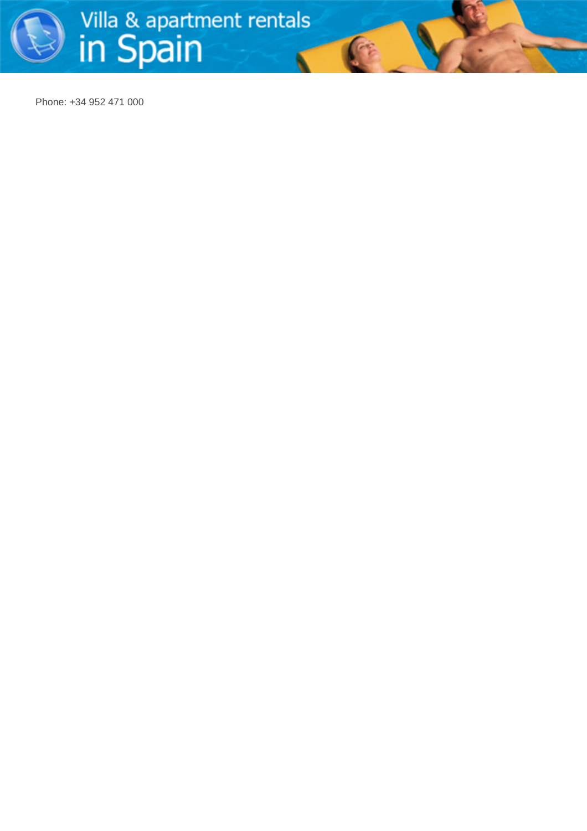

Phone: +34 952 471 000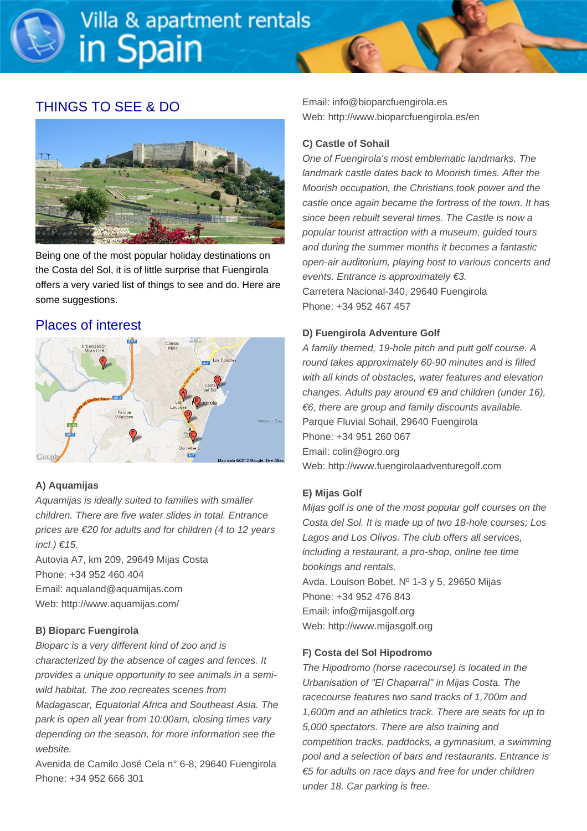# THINGS TO SEE & DO



Being one of the most popular holiday destinations on the Costa del Sol, it is of little surprise that Fuengirola offers a very varied list of things to see and do. Here are some suggestions.

# Places of interest



#### **A) Aquamijas**

Aquamijas is ideally suited to families with smaller children. There are five water slides in total. Entrance prices are €20 for adults and for children (4 to 12 years  $incl.$ )  $\in$  15.

Autovia A7, km 209, 29649 Mijas Costa Phone: +34 952 460 404 Email: aqualand@aquamijas.com Web: http://www.aquamijas.com/

#### **B) Bioparc Fuengirola**

Bioparc is a very different kind of zoo and is characterized by the absence of cages and fences. It provides a unique opportunity to see animals in a semiwild habitat. The zoo recreates scenes from Madagascar, Equatorial Africa and Southeast Asia. The park is open all year from 10:00am, closing times vary depending on the season, for more information see the website.

Avenida de Camilo José Cela n° 6-8, 29640 Fuengirola Phone: +34 952 666 301

Email: info@bioparcfuengirola.es Web: http://www.bioparcfuengirola.es/en

#### **C) Castle of Sohail**

One of Fuengirola's most emblematic landmarks. The landmark castle dates back to Moorish times. After the Moorish occupation, the Christians took power and the castle once again became the fortress of the town. It has since been rebuilt several times. The Castle is now a popular tourist attraction with a museum, guided tours and during the summer months it becomes a fantastic open-air auditorium, playing host to various concerts and events. Entrance is approximately €3. Carretera Nacional-340, 29640 Fuengirola Phone: +34 952 467 457

#### **D) Fuengirola Adventure Golf**

A family themed, 19-hole pitch and putt golf course. A round takes approximately 60-90 minutes and is filled with all kinds of obstacles, water features and elevation changes. Adults pay around €9 and children (under 16), €6, there are group and family discounts available. Parque Fluvial Sohail, 29640 Fuengirola Phone: +34 951 260 067 Email: colin@ogro.org Web: http://www.fuengirolaadventuregolf.com

#### **E) Mijas Golf**

Mijas golf is one of the most popular golf courses on the Costa del Sol. It is made up of two 18-hole courses; Los Lagos and Los Olivos. The club offers all services, including a restaurant, a pro-shop, online tee time bookings and rentals. Avda. Louison Bobet. Nº 1-3 y 5, 29650 Mijas Phone: +34 952 476 843 Email: info@mijasgolf.org Web: http://www.mijasgolf.org

#### **F) Costa del Sol Hipodromo**

The Hipodromo (horse racecourse) is located in the Urbanisation of "El Chaparral" in Mijas Costa. The racecourse features two sand tracks of 1,700m and 1,600m and an athletics track. There are seats for up to 5,000 spectators. There are also training and competition tracks, paddocks, a gymnasium, a swimming pool and a selection of bars and restaurants. Entrance is €5 for adults on race days and free for under children under 18. Car parking is free.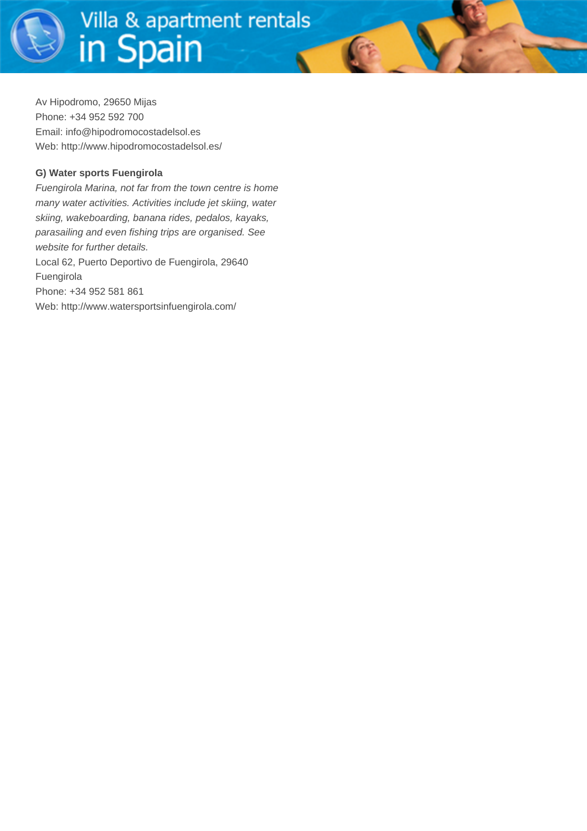Av Hipodromo, 29650 Mijas Phone: +34 952 592 700 Email: info@hipodromocostadelsol.es Web: http://www.hipodromocostadelsol.es/

#### **G) Water sports Fuengirola**

Fuengirola Marina, not far from the town centre is home many water activities. Activities include jet skiing, water skiing, wakeboarding, banana rides, pedalos, kayaks, parasailing and even fishing trips are organised. See website for further details. Local 62, Puerto Deportivo de Fuengirola, 29640 Fuengirola Phone: +34 952 581 861 Web: http://www.watersportsinfuengirola.com/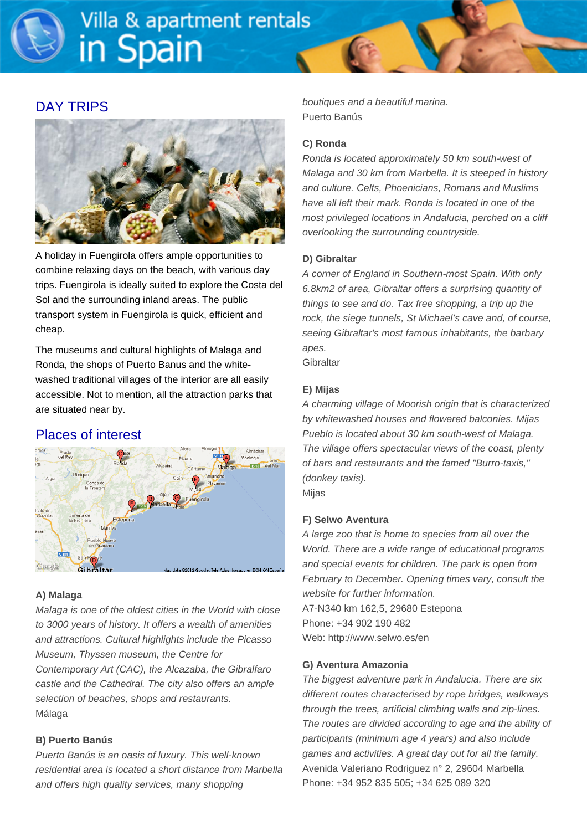## DAY TRIPS



A holiday in Fuengirola offers ample opportunities to combine relaxing days on the beach, with various day trips. Fuengirola is ideally suited to explore the Costa del Sol and the surrounding inland areas. The public transport system in Fuengirola is quick, efficient and cheap.

The museums and cultural highlights of Malaga and Ronda, the shops of Puerto Banus and the whitewashed traditional villages of the interior are all easily accessible. Not to mention, all the attraction parks that are situated near by.

# Places of interest



#### **A) Malaga**

Malaga is one of the oldest cities in the World with close to 3000 years of history. It offers a wealth of amenities and attractions. Cultural highlights include the Picasso Museum, Thyssen museum, the Centre for Contemporary Art (CAC), the Alcazaba, the Gibralfaro castle and the Cathedral. The city also offers an ample selection of beaches, shops and restaurants. Málaga

#### **B) Puerto Banús**

Puerto Banús is an oasis of luxury. This well-known residential area is located a short distance from Marbella and offers high quality services, many shopping

boutiques and a beautiful marina. Puerto Banús

#### **C) Ronda**

Ronda is located approximately 50 km south-west of Malaga and 30 km from Marbella. It is steeped in history and culture. Celts, Phoenicians, Romans and Muslims have all left their mark. Ronda is located in one of the most privileged locations in Andalucia, perched on a cliff overlooking the surrounding countryside.

#### **D) Gibraltar**

A corner of England in Southern-most Spain. With only 6.8km2 of area, Gibraltar offers a surprising quantity of things to see and do. Tax free shopping, a trip up the rock, the siege tunnels, St Michael's cave and, of course, seeing Gibraltar's most famous inhabitants, the barbary apes.

**Gibraltar** 

#### **E) Mijas**

A charming village of Moorish origin that is characterized by whitewashed houses and flowered balconies. Mijas Pueblo is located about 30 km south-west of Malaga. The village offers spectacular views of the coast, plenty of bars and restaurants and the famed "Burro-taxis," (donkey taxis).

Mijas

#### **F) Selwo Aventura**

A large zoo that is home to species from all over the World. There are a wide range of educational programs and special events for children. The park is open from February to December. Opening times vary, consult the website for further information. A7-N340 km 162,5, 29680 Estepona Phone: +34 902 190 482 Web: http://www.selwo.es/en

#### **G) Aventura Amazonia**

The biggest adventure park in Andalucia. There are six different routes characterised by rope bridges, walkways through the trees, artificial climbing walls and zip-lines. The routes are divided according to age and the ability of participants (minimum age 4 years) and also include games and activities. A great day out for all the family. Avenida Valeriano Rodriguez n° 2, 29604 Marbella Phone: +34 952 835 505; +34 625 089 320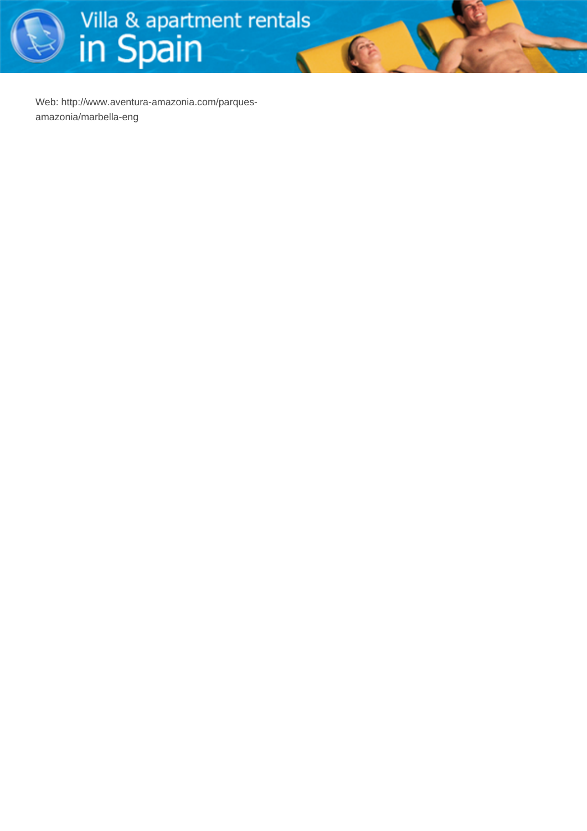

 $\mathbb{G}$ 

Web: http://www.aventura-amazonia.com/parquesamazonia/marbella-eng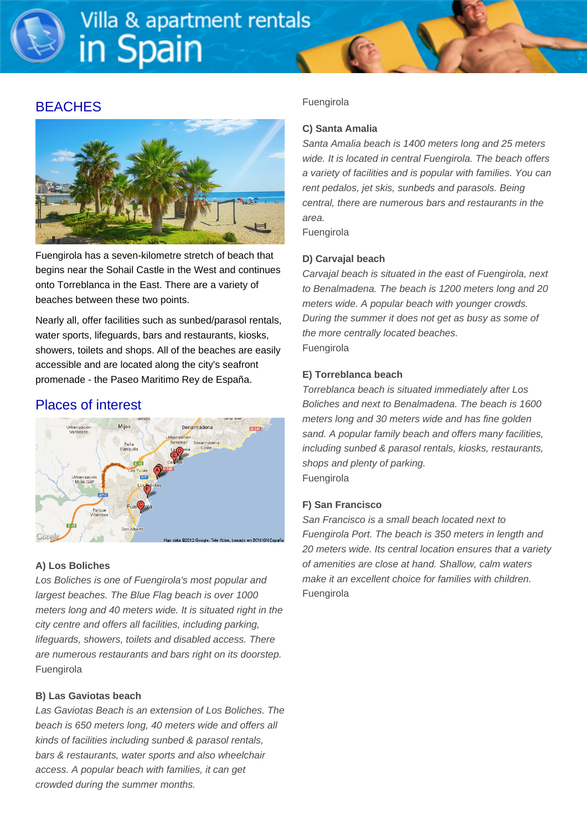## **BEACHES**



Fuengirola has a seven-kilometre stretch of beach that begins near the Sohail Castle in the West and continues onto Torreblanca in the East. There are a variety of beaches between these two points.

Nearly all, offer facilities such as sunbed/parasol rentals, water sports, lifeguards, bars and restaurants, kiosks, showers, toilets and shops. All of the beaches are easily accessible and are located along the city's seafront promenade - the Paseo Maritimo Rey de España.

# Places of interest



#### **A) Los Boliches**

Los Boliches is one of Fuengirola's most popular and largest beaches. The Blue Flag beach is over 1000 meters long and 40 meters wide. It is situated right in the city centre and offers all facilities, including parking, lifeguards, showers, toilets and disabled access. There are numerous restaurants and bars right on its doorstep. Fuengirola

#### **B) Las Gaviotas beach**

Las Gaviotas Beach is an extension of Los Boliches. The beach is 650 meters long, 40 meters wide and offers all kinds of facilities including sunbed & parasol rentals, bars & restaurants, water sports and also wheelchair access. A popular beach with families, it can get crowded during the summer months.

#### Fuengirola

#### **C) Santa Amalia**

Santa Amalia beach is 1400 meters long and 25 meters wide. It is located in central Fuengirola. The beach offers a variety of facilities and is popular with families. You can rent pedalos, jet skis, sunbeds and parasols. Being central, there are numerous bars and restaurants in the area.

Fuengirola

#### **D) Carvajal beach**

Carvajal beach is situated in the east of Fuengirola, next to Benalmadena. The beach is 1200 meters long and 20 meters wide. A popular beach with younger crowds. During the summer it does not get as busy as some of the more centrally located beaches. Fuengirola

#### **E) Torreblanca beach**

Torreblanca beach is situated immediately after Los Boliches and next to Benalmadena. The beach is 1600 meters long and 30 meters wide and has fine golden sand. A popular family beach and offers many facilities, including sunbed & parasol rentals, kiosks, restaurants, shops and plenty of parking. Fuengirola

#### **F) San Francisco**

San Francisco is a small beach located next to Fuengirola Port. The beach is 350 meters in length and 20 meters wide. Its central location ensures that a variety of amenities are close at hand. Shallow, calm waters make it an excellent choice for families with children. Fuengirola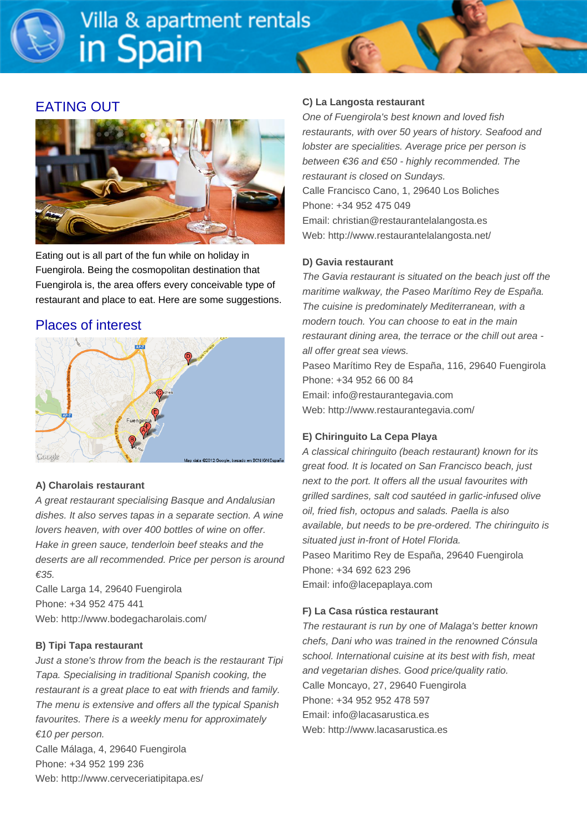# EATING OUT



Eating out is all part of the fun while on holiday in Fuengirola. Being the cosmopolitan destination that Fuengirola is, the area offers every conceivable type of restaurant and place to eat. Here are some suggestions.

# Places of interest



#### **A) Charolais restaurant**

A great restaurant specialising Basque and Andalusian dishes. It also serves tapas in a separate section. A wine lovers heaven, with over 400 bottles of wine on offer. Hake in green sauce, tenderloin beef steaks and the deserts are all recommended. Price per person is around €35.

Calle Larga 14, 29640 Fuengirola Phone: +34 952 475 441 Web: http://www.bodegacharolais.com/

#### **B) Tipi Tapa restaurant**

Just a stone's throw from the beach is the restaurant Tipi Tapa. Specialising in traditional Spanish cooking, the restaurant is a great place to eat with friends and family. The menu is extensive and offers all the typical Spanish favourites. There is a weekly menu for approximately €10 per person. Calle Málaga, 4, 29640 Fuengirola Phone: +34 952 199 236 Web: http://www.cerveceriatipitapa.es/

#### **C) La Langosta restaurant**

One of Fuengirola's best known and loved fish restaurants, with over 50 years of history. Seafood and lobster are specialities. Average price per person is between €36 and €50 - highly recommended. The restaurant is closed on Sundays. Calle Francisco Cano, 1, 29640 Los Boliches Phone: +34 952 475 049 Email: christian@restaurantelalangosta.es Web: http://www.restaurantelalangosta.net/

#### **D) Gavia restaurant**

The Gavia restaurant is situated on the beach just off the maritime walkway, the Paseo Marítimo Rey de España. The cuisine is predominately Mediterranean, with a modern touch. You can choose to eat in the main restaurant dining area, the terrace or the chill out area all offer great sea views.

Paseo Marítimo Rey de España, 116, 29640 Fuengirola Phone: +34 952 66 00 84 Email: info@restaurantegavia.com Web: http://www.restaurantegavia.com/

#### **E) Chiringuito La Cepa Playa**

A classical chiringuito (beach restaurant) known for its great food. It is located on San Francisco beach, just next to the port. It offers all the usual favourites with grilled sardines, salt cod sautéed in garlic-infused olive oil, fried fish, octopus and salads. Paella is also available, but needs to be pre-ordered. The chiringuito is situated just in-front of Hotel Florida. Paseo Maritimo Rey de España, 29640 Fuengirola Phone: +34 692 623 296 Email: info@lacepaplaya.com

#### **F) La Casa rústica restaurant**

The restaurant is run by one of Malaga's better known chefs, Dani who was trained in the renowned Cónsula school. International cuisine at its best with fish, meat and vegetarian dishes. Good price/quality ratio. Calle Moncayo, 27, 29640 Fuengirola Phone: +34 952 952 478 597 Email: info@lacasarustica.es Web: http://www.lacasarustica.es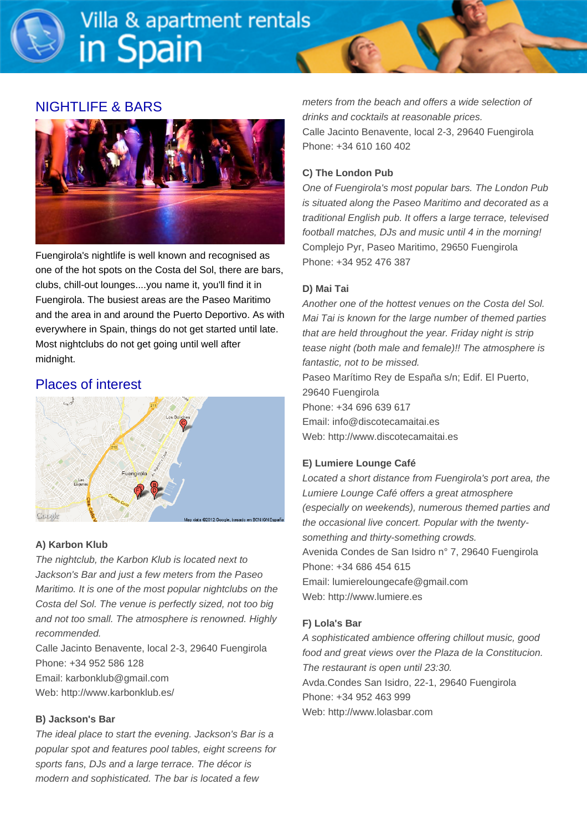## NIGHTLIFE & BARS



Fuengirola's nightlife is well known and recognised as one of the hot spots on the Costa del Sol, there are bars, clubs, chill-out lounges....you name it, you'll find it in Fuengirola. The busiest areas are the Paseo Maritimo and the area in and around the Puerto Deportivo. As with everywhere in Spain, things do not get started until late. Most nightclubs do not get going until well after midnight.

## Places of interest



#### **A) Karbon Klub**

The nightclub, the Karbon Klub is located next to Jackson's Bar and just a few meters from the Paseo Maritimo. It is one of the most popular nightclubs on the Costa del Sol. The venue is perfectly sized, not too big and not too small. The atmosphere is renowned. Highly recommended.

Calle Jacinto Benavente, local 2-3, 29640 Fuengirola Phone: +34 952 586 128

Email: karbonklub@gmail.com

Web: http://www.karbonklub.es/

#### **B) Jackson's Bar**

The ideal place to start the evening. Jackson's Bar is a popular spot and features pool tables, eight screens for sports fans, DJs and a large terrace. The décor is modern and sophisticated. The bar is located a few

meters from the beach and offers a wide selection of drinks and cocktails at reasonable prices. Calle Jacinto Benavente, local 2-3, 29640 Fuengirola Phone: +34 610 160 402

#### **C) The London Pub**

One of Fuengirola's most popular bars. The London Pub is situated along the Paseo Maritimo and decorated as a traditional English pub. It offers a large terrace, televised football matches, DJs and music until 4 in the morning! Complejo Pyr, Paseo Maritimo, 29650 Fuengirola Phone: +34 952 476 387

#### **D) Mai Tai**

Another one of the hottest venues on the Costa del Sol. Mai Tai is known for the large number of themed parties that are held throughout the year. Friday night is strip tease night (both male and female)!! The atmosphere is fantastic, not to be missed. Paseo Marítimo Rey de España s/n; Edif. El Puerto, 29640 Fuengirola Phone: +34 696 639 617 Email: info@discotecamaitai.es Web: http://www.discotecamaitai.es

#### **E) Lumiere Lounge Café**

Located a short distance from Fuengirola's port area, the Lumiere Lounge Café offers a great atmosphere (especially on weekends), numerous themed parties and the occasional live concert. Popular with the twentysomething and thirty-something crowds. Avenida Condes de San Isidro n° 7, 29640 Fuengirola Phone: +34 686 454 615 Email: lumiereloungecafe@gmail.com Web: http://www.lumiere.es

#### **F) Lola's Bar**

A sophisticated ambience offering chillout music, good food and great views over the Plaza de la Constitucion. The restaurant is open until 23:30. Avda.Condes San Isidro, 22-1, 29640 Fuengirola Phone: +34 952 463 999 Web: http://www.lolasbar.com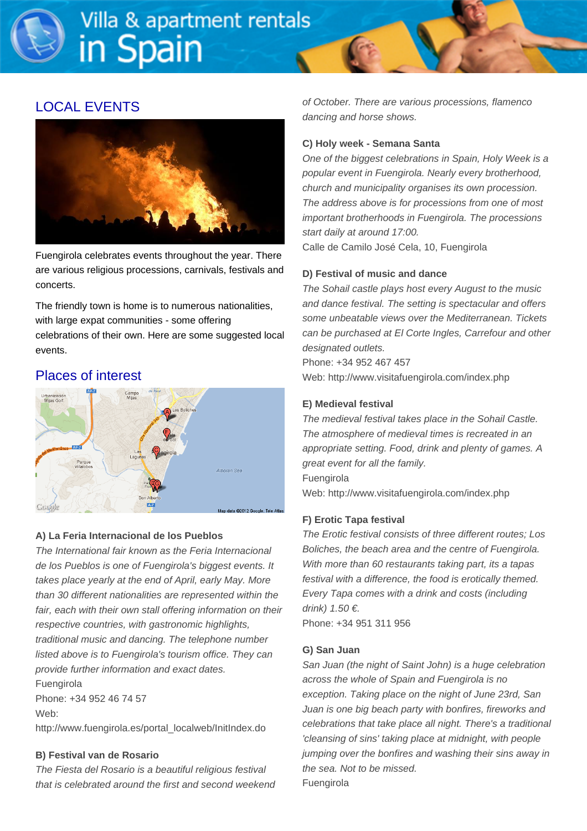# LOCAL EVENTS



Fuengirola celebrates events throughout the year. There are various religious processions, carnivals, festivals and concerts.

The friendly town is home is to numerous nationalities, with large expat communities - some offering celebrations of their own. Here are some suggested local events.

# Places of interest



#### **A) La Feria Internacional de los Pueblos**

The International fair known as the Feria Internacional de los Pueblos is one of Fuengirola's biggest events. It takes place yearly at the end of April, early May. More than 30 different nationalities are represented within the fair, each with their own stall offering information on their respective countries, with gastronomic highlights, traditional music and dancing. The telephone number listed above is to Fuengirola's tourism office. They can provide further information and exact dates. Fuengirola

Phone: +34 952 46 74 57 Web:

http://www.fuengirola.es/portal\_localweb/InitIndex.do

#### **B) Festival van de Rosario**

The Fiesta del Rosario is a beautiful religious festival that is celebrated around the first and second weekend of October. There are various processions, flamenco dancing and horse shows.

#### **C) Holy week - Semana Santa**

One of the biggest celebrations in Spain, Holy Week is a popular event in Fuengirola. Nearly every brotherhood, church and municipality organises its own procession. The address above is for processions from one of most important brotherhoods in Fuengirola. The processions start daily at around 17:00.

Calle de Camilo José Cela, 10, Fuengirola

#### **D) Festival of music and dance**

The Sohail castle plays host every August to the music and dance festival. The setting is spectacular and offers some unbeatable views over the Mediterranean. Tickets can be purchased at El Corte Ingles, Carrefour and other designated outlets.

Phone: +34 952 467 457 Web: http://www.visitafuengirola.com/index.php

#### **E) Medieval festival**

The medieval festival takes place in the Sohail Castle. The atmosphere of medieval times is recreated in an appropriate setting. Food, drink and plenty of games. A great event for all the family. Fuengirola Web: http://www.visitafuengirola.com/index.php

#### **F) Erotic Tapa festival**

The Erotic festival consists of three different routes; Los Boliches, the beach area and the centre of Fuengirola. With more than 60 restaurants taking part, its a tapas festival with a difference, the food is erotically themed. Every Tapa comes with a drink and costs (including drink)  $1.50 \in$ .

Phone: +34 951 311 956

#### **G) San Juan**

San Juan (the night of Saint John) is a huge celebration across the whole of Spain and Fuengirola is no exception. Taking place on the night of June 23rd, San Juan is one big beach party with bonfires, fireworks and celebrations that take place all night. There's a traditional 'cleansing of sins' taking place at midnight, with people jumping over the bonfires and washing their sins away in the sea. Not to be missed. Fuengirola